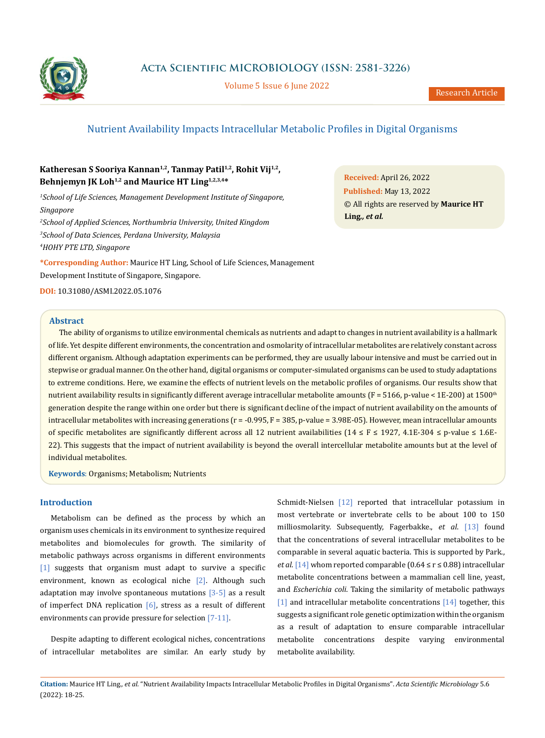

**Acta Scientific MICROBIOLOGY (ISSN: 2581-3226)**

Volume 5 Issue 6 June 2022

# Nutrient Availability Impacts Intracellular Metabolic Profiles in Digital Organisms

# **Katheresan S Sooriya Kannan1,2, Tanmay Patil1,2, Rohit Vij1,2, Behnjemyn JK Loh1,2 and Maurice HT Ling1,2,3,4\***

*1 School of Life Sciences, Management Development Institute of Singapore, Singapore*

*2 School of Applied Sciences, Northumbria University, United Kingdom 3 School of Data Sciences, Perdana University, Malaysia 4 HOHY PTE LTD, Singapore*

**\*Corresponding Author:** Maurice HT Ling, School of Life Sciences, Management Development Institute of Singapore, Singapore.

**DOI:** [10.31080/ASMI.2022.05.107](http://actascientific.com/ASMI/pdf/ASMI-05-1076.pdf)6

**Abstract**

**Received:** April 26, 2022 **Published:** May 13, 2022 © All rights are reserved by **Maurice HT Ling***., et al.*

The ability of organisms to utilize environmental chemicals as nutrients and adapt to changes in nutrient availability is a hallmark of life. Yet despite different environments, the concentration and osmolarity of intracellular metabolites are relatively constant across different organism. Although adaptation experiments can be performed, they are usually labour intensive and must be carried out in stepwise or gradual manner. On the other hand, digital organisms or computer-simulated organisms can be used to study adaptations to extreme conditions. Here, we examine the effects of nutrient levels on the metabolic profiles of organisms. Our results show that nutrient availability results in significantly different average intracellular metabolite amounts ( $F = 5166$ , p-value < 1E-200) at 1500<sup>th</sup> generation despite the range within one order but there is significant decline of the impact of nutrient availability on the amounts of intracellular metabolites with increasing generations ( $r = -0.995$ ,  $F = 385$ , p-value = 3.98E-05). However, mean intracellular amounts of specific metabolites are significantly different across all 12 nutrient availabilities (14 ≤ F ≤ 1927, 4.1E-304 ≤ p-value ≤ 1.6E-22). This suggests that the impact of nutrient availability is beyond the overall intercellular metabolite amounts but at the level of individual metabolites.

**Keywords**: Organisms; Metabolism; Nutrients

### **Introduction**

Metabolism can be defined as the process by which an organism uses chemicals in its environment to synthesize required metabolites and biomolecules for growth. The similarity of metabolic pathways across organisms in different environments [1] suggests that organism must adapt to survive a specific environment, known as ecological niche [2]. Although such adaptation may involve spontaneous mutations  $[3-5]$  as a result of imperfect DNA replication  $[6]$ , stress as a result of different environments can provide pressure for selection [7-11].

Despite adapting to different ecological niches, concentrations of intracellular metabolites are similar. An early study by Schmidt-Nielsen [12] reported that intracellular potassium in most vertebrate or invertebrate cells to be about 100 to 150 milliosmolarity. Subsequently, Fagerbakke., *et al*. [13] found that the concentrations of several intracellular metabolites to be comparable in several aquatic bacteria. This is supported by Park., *et al.* [14] whom reported comparable (0.64 ≤ r ≤ 0.88) intracellular metabolite concentrations between a mammalian cell line, yeast, and *Escherichia coli*. Taking the similarity of metabolic pathways [1] and intracellular metabolite concentrations [14] together, this suggests a significant role genetic optimization within the organism as a result of adaptation to ensure comparable intracellular metabolite concentrations despite varying environmental metabolite availability.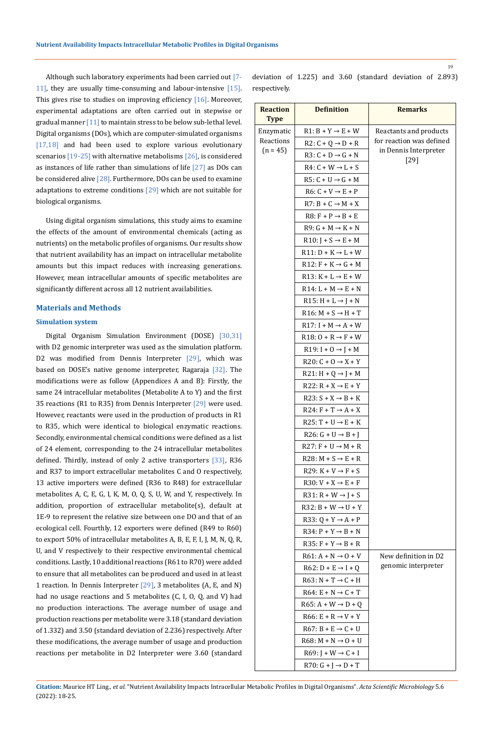Although such laboratory experiments had been carried out [7- 11], they are usually time-consuming and labour-intensive [15]. This gives rise to studies on improving efficiency [16]. Moreover, experimental adaptations are often carried out in stepwise or gradual manner  $[11]$  to maintain stress to be below sub-lethal level. Digital organisms (DOs), which are computer-simulated organisms [17,18] and had been used to explore various evolutionary scenarios [19-25] with alternative metabolisms [26], is considered as instances of life rather than simulations of life  $[27]$  as DOs can be considered alive [28]. Furthermore, DOs can be used to examine adaptations to extreme conditions  $[29]$  which are not suitable for biological organisms.

Using digital organism simulations, this study aims to examine the effects of the amount of environmental chemicals (acting as nutrients) on the metabolic profiles of organisms. Our results show that nutrient availability has an impact on intracellular metabolite amounts but this impact reduces with increasing generations. However, mean intracellular amounts of specific metabolites are significantly different across all 12 nutrient availabilities.

### **Materials and Methods**

### **Simulation system**

Digital Organism Simulation Environment (DOSE) [30,31] with D2 genomic interpreter was used as the simulation platform. D2 was modified from Dennis Interpreter  $[29]$ , which was based on DOSE's native genome interpreter, Ragaraja [32]. The modifications were as follow (Appendices A and B): Firstly, the same 24 intracellular metabolites (Metabolite A to Y) and the first 35 reactions (R1 to R35) from Dennis Interpreter [29] were used. However, reactants were used in the production of products in R1 to R35, which were identical to biological enzymatic reactions. Secondly, environmental chemical conditions were defined as a list of 24 element, corresponding to the 24 intracellular metabolites defined. Thirdly, instead of only 2 active transporters [33], R36 and R37 to import extracellular metabolites C and O respectively, 13 active importers were defined (R36 to R48) for extracellular metabolites A, C, E, G, I, K, M, O, Q, S, U, W, and Y, respectively. In addition, proportion of extracellular metabolite(s), default at 1E-9 to represent the relative size between one DO and that of an ecological cell. Fourthly, 12 exporters were defined (R49 to R60) to export 50% of intracellular metabolites A, B, E, F, I, J, M, N, Q, R, U, and V respectively to their respective environmental chemical conditions. Lastly, 10 additional reactions (R61 to R70) were added to ensure that all metabolites can be produced and used in at least 1 reaction. In Dennis Interpreter  $[29]$ , 3 metabolites (A, E, and N) had no usage reactions and 5 metabolites (C, I, O, Q, and V) had no production interactions. The average number of usage and production reactions per metabolite were 3.18 (standard deviation of 1.332) and 3.50 (standard deviation of 2.236) respectively. After these modifications, the average number of usage and production reactions per metabolite in D2 Interpreter were 3.60 (standard

deviation of 1.225) and 3.60 (standard deviation of 2.893) respectively.

| <b>Reaction</b><br><b>Type</b> | <b>Definition</b>                           | <b>Remarks</b>           |
|--------------------------------|---------------------------------------------|--------------------------|
| Enzymatic                      | $R1: B + Y \rightarrow E + W$               | Reactants and products   |
| Reactions<br>$(n = 45)$        | $R2: C + Q \rightarrow D + R$               | for reaction was defined |
|                                | $R3: C + D \rightarrow G + N$               | in Dennis Interpreter    |
|                                | $R4: C + W \rightarrow L + S$               | $[29]$                   |
|                                | $R5: C + U \rightarrow G + M$               |                          |
|                                | $R6: C + V \rightarrow E + P$               |                          |
|                                | $R7: B + C \rightarrow M + X$               |                          |
|                                | $R8: F + P \rightarrow B + E$               |                          |
|                                | $R9: G + M \rightarrow K + N$               |                          |
|                                | $R10: J + S \rightarrow E + M$              |                          |
|                                | $R11: D + K \rightarrow L + W$              |                          |
|                                | $R12: F + K \rightarrow G + M$              |                          |
|                                | $R13: K + L \rightarrow E + W$              |                          |
|                                | $R14: L + M \rightarrow E + N$              |                          |
|                                | $R15: H + L \rightarrow J + N$              |                          |
|                                | $R16: M + S \rightarrow H + T$              |                          |
|                                | $R17: I + M \rightarrow A + W$              |                          |
|                                | $R18:0+R \rightarrow F+W$                   |                          |
|                                | R <sub>19</sub> : $I + 0 \rightarrow J + M$ |                          |
|                                | R20: $C + O \rightarrow X + Y$              |                          |
|                                | $R21: H + Q \rightarrow J + M$              |                          |
|                                | $R22: R + X \rightarrow E + Y$              |                          |
|                                | $R23: S + X \rightarrow B + K$              |                          |
|                                | $R24: F + T \rightarrow A + X$              |                          |
|                                | $R25: T + U \rightarrow E + K$              |                          |
|                                | $R26: G + U \rightarrow B + J$              |                          |
|                                | $R27: F + U \rightarrow M + R$              |                          |
|                                | $R28: M + S \rightarrow E + R$              |                          |
|                                | $R29: K + V \rightarrow F + S$              |                          |
|                                | $R30: V + X \rightarrow E + F$              |                          |
|                                | $R31: R+W \rightarrow J+S$                  |                          |
|                                | $R32: B+W \rightarrow U+Y$                  |                          |
|                                | R33: $Q + Y \rightarrow A + P$              |                          |
|                                | $R34$ : $P + Y \rightarrow B + N$           |                          |
|                                | $R35: F + Y \rightarrow B + R$              |                          |
|                                | $R61: A + N \rightarrow 0 + V$              | New definition in D2     |
|                                | $R62: D + E \rightarrow I + Q$              | genomic interpreter      |
|                                | $R63: N + T \rightarrow C + H$              |                          |
|                                | $R64: E + N \rightarrow C + T$              |                          |
|                                | $R65$ : A + W $\rightarrow$ D + Q           |                          |
|                                | $R66: E + R \rightarrow V + Y$              |                          |
|                                | $R67: B + E \rightarrow C + U$              |                          |
|                                | $R68$ : M + N $\rightarrow$ O + U           |                          |
|                                | $R69: J+W \rightarrow C+I$                  |                          |
|                                | $R70: G + J \rightarrow D + T$              |                          |

**Citation:** Maurice HT Ling*., et al.* "Nutrient Availability Impacts Intracellular Metabolic Profiles in Digital Organisms". *Acta Scientific Microbiology* 5.6 (2022): 18-25.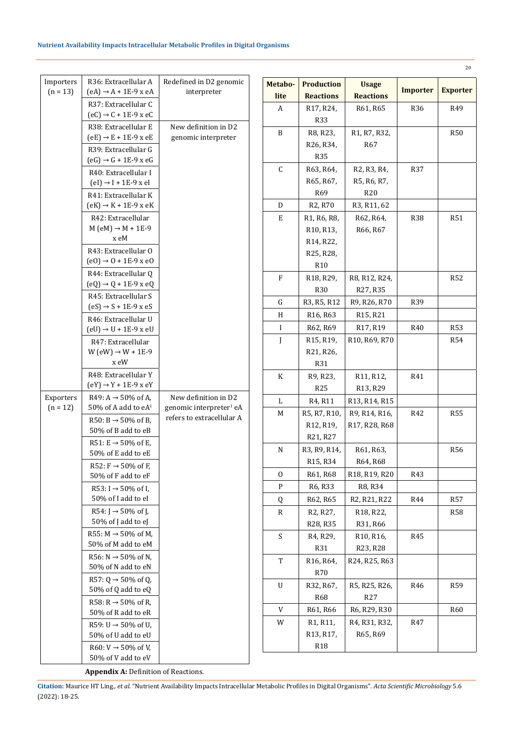| Importers  | R36: Extracellular A                                              | Redefined in D2 genomic                                          |
|------------|-------------------------------------------------------------------|------------------------------------------------------------------|
| $(n = 13)$ | $(eA) \rightarrow A + 1E-9$ x eA                                  | interpreter                                                      |
|            | R37: Extracellular C                                              |                                                                  |
|            | $(eC) \rightarrow C + 1E-9$ x eC                                  |                                                                  |
|            | R38: Extracellular E                                              | New definition in D2                                             |
|            | $(eE) \rightarrow E + 1E - 9$ x eE                                | genomic interpreter                                              |
|            | R39: Extracellular G                                              |                                                                  |
|            | $(eG) \rightarrow G + 1E-9$ x eG                                  |                                                                  |
|            | R40: Extracellular I                                              |                                                                  |
|            | $\text{(el)} \rightarrow \text{I} + 1\text{E-9} \times \text{el}$ |                                                                  |
|            | R41: Extracellular K                                              |                                                                  |
|            | $(eK) \rightarrow K + 1E-9$ x eK                                  |                                                                  |
|            | R42: Extracellular<br>$M (eM) \rightarrow M + 1E-9$               |                                                                  |
|            | x eM                                                              |                                                                  |
|            | R43: Extracellular O                                              |                                                                  |
|            | $(e0) \rightarrow 0 + 1E-9$ x e0                                  |                                                                  |
|            | R44: Extracellular Q                                              |                                                                  |
|            | $\text{(eQ)} \rightarrow \text{Q} + 1\text{E-9 x eQ}$             |                                                                  |
|            | R45: Extracellular S                                              |                                                                  |
|            | $(eS) \rightarrow S + 1E-9$ x eS                                  |                                                                  |
|            | R46: Extracellular U                                              |                                                                  |
|            | $\text{(eU)} \rightarrow \text{U} + 1\text{E-9 x eU}$             |                                                                  |
|            | R47: Extracellular                                                |                                                                  |
|            | $W$ (eW) $\rightarrow$ W + 1E-9                                   |                                                                  |
|            | x eW                                                              |                                                                  |
|            | R48: Extracellular Y                                              |                                                                  |
|            | $(eY) \rightarrow Y + 1E-9x eY$                                   |                                                                  |
| Exporters  | $R49: A \rightarrow 50\%$ of A.                                   | New definition in D2                                             |
| $(n = 12)$ | 50% of A add to $eA1$                                             | genomic interpreter <sup>1</sup> eA<br>refers to extracellular A |
|            | R50: B $\rightarrow$ 50% of B,                                    |                                                                  |
|            | 50% of B add to eB                                                |                                                                  |
|            | R51: E $\rightarrow$ 50% of E,                                    |                                                                  |
|            | 50% of E add to eE                                                |                                                                  |
|            | R52: $F \rightarrow 50\%$ of F,<br>50% of F add to eF             |                                                                  |
|            |                                                                   |                                                                  |
|            | R53: I $\rightarrow$ 50% of I,<br>50% of I add to eI              |                                                                  |
|            | R54: $J \rightarrow 50\%$ of J.                                   |                                                                  |
|            | $50\%$ of J add to eJ                                             |                                                                  |
|            | R55: $M \rightarrow 50\%$ of M,                                   |                                                                  |
|            | 50% of M add to eM                                                |                                                                  |
|            | $R56: N \rightarrow 50\%$ of N.                                   |                                                                  |
|            | 50% of N add to eN                                                |                                                                  |
|            | R57: Q $\rightarrow$ 50% of Q,                                    |                                                                  |
|            | 50% of Q add to $eQ$                                              |                                                                  |
|            | R58: R $\rightarrow$ 50% of R,                                    |                                                                  |
|            | 50% of R add to eR                                                |                                                                  |
|            | R59: U $\rightarrow$ 50% of U,                                    |                                                                  |
|            | 50% of U add to eU                                                |                                                                  |
|            | R60: $V \rightarrow 50\%$ of V,                                   |                                                                  |
|            | 50% of V add to eV                                                |                                                                  |

| Metabo- | <b>Production</b>                                  | <b>Usage</b>                                        |                 |                 |
|---------|----------------------------------------------------|-----------------------------------------------------|-----------------|-----------------|
| lite    | <b>Reactions</b>                                   | <b>Reactions</b>                                    | <b>Importer</b> | <b>Exporter</b> |
| A       | R17, R24,                                          | R61, R65                                            | R36             | R49             |
|         | R33                                                |                                                     |                 |                 |
| B       | R8, R23,                                           | R1, R7, R32,                                        |                 | <b>R50</b>      |
|         | R26, R34,                                          | R <sub>67</sub>                                     |                 |                 |
|         | R35                                                |                                                     |                 |                 |
| C       | R63, R64,                                          | R2, R3, R4,                                         | R37             |                 |
|         | R65, R67,                                          | R5, R6, R7,                                         |                 |                 |
|         | R69                                                | R20                                                 |                 |                 |
| D       | R2, R70                                            | R3, R11, 62                                         |                 |                 |
| E       | R <sub>1</sub> , R <sub>6</sub> , R <sub>8</sub> , | R62, R64,                                           | <b>R38</b>      | R51             |
|         | R10, R13,                                          | R66, R67                                            |                 |                 |
|         | R <sub>14</sub> , R <sub>22</sub> ,                |                                                     |                 |                 |
|         | R25, R28,                                          |                                                     |                 |                 |
|         | R <sub>10</sub>                                    |                                                     |                 |                 |
| F       | R18, R29,                                          | R8, R12, R24,                                       |                 | R52             |
|         | R30                                                | R27, R35                                            |                 |                 |
| G       | R3, R5, R12                                        | R9, R26, R70                                        | R39             |                 |
| H       | R <sub>16</sub> , R <sub>63</sub>                  | R <sub>15</sub> , R <sub>21</sub>                   |                 |                 |
| I       | R62, R69                                           | R17, R19                                            | R40             | <b>R53</b>      |
| J       | R <sub>15</sub> , R <sub>19</sub> ,                | R10, R69, R70                                       |                 | <b>R54</b>      |
|         | R21, R26,                                          |                                                     |                 |                 |
|         | R31                                                |                                                     |                 |                 |
| K       | R9, R23,                                           | R11, R12,                                           | R41             |                 |
|         | R25                                                | R13, R29                                            |                 |                 |
| L       | R4, R11                                            | R13, R14, R15                                       |                 |                 |
| М       | R5, R7, R10,                                       | R9, R14, R16,                                       | R42             | <b>R55</b>      |
|         | R12, R19,                                          | R <sub>17</sub> , R <sub>28</sub> , R <sub>68</sub> |                 |                 |
|         | R21, R27                                           |                                                     |                 |                 |
| N       | R3, R9, R14,                                       | R61, R63,                                           |                 | <b>R56</b>      |
|         | R <sub>15</sub> , R <sub>34</sub>                  | R64, R68                                            |                 |                 |
| 0       | R61, R68                                           | R18, R19, R20                                       | R43             |                 |
| P       | R6, R33                                            | R8, R34                                             |                 |                 |
| Q       | R62, R65                                           | R2, R21, R22                                        | R44             | R57             |
| R       | R <sub>2</sub> , R <sub>27</sub> ,                 | R <sub>18</sub> , R <sub>22</sub> ,                 |                 | <b>R58</b>      |
|         | R28, R35                                           | R31, R66                                            |                 |                 |
| S       | R4, R29,                                           | R <sub>10</sub> , R <sub>16</sub> ,                 | R45             |                 |
|         | R31                                                | R23, R28                                            |                 |                 |
| T       | R16, R64,                                          | R24, R25, R63                                       |                 |                 |
|         | R70                                                |                                                     |                 |                 |
| U       | R32, R67,                                          | R5, R25, R26,                                       | R46             | R59             |
|         | <b>R68</b>                                         | R27                                                 |                 |                 |
| V       | R61, R66                                           | R6, R29, R30                                        |                 | <b>R60</b>      |
| W       | R <sub>1</sub> , R <sub>11</sub> ,                 | R4, R31, R32,                                       | R47             |                 |
|         | R13, R17,                                          | R65, R69                                            |                 |                 |
|         | R <sub>18</sub>                                    |                                                     |                 |                 |
|         |                                                    |                                                     |                 |                 |

**Appendix A:** Definition of Reactions.

**Citation:** Maurice HT Ling*., et al.* "Nutrient Availability Impacts Intracellular Metabolic Profiles in Digital Organisms". *Acta Scientific Microbiology* 5.6 (2022): 18-25.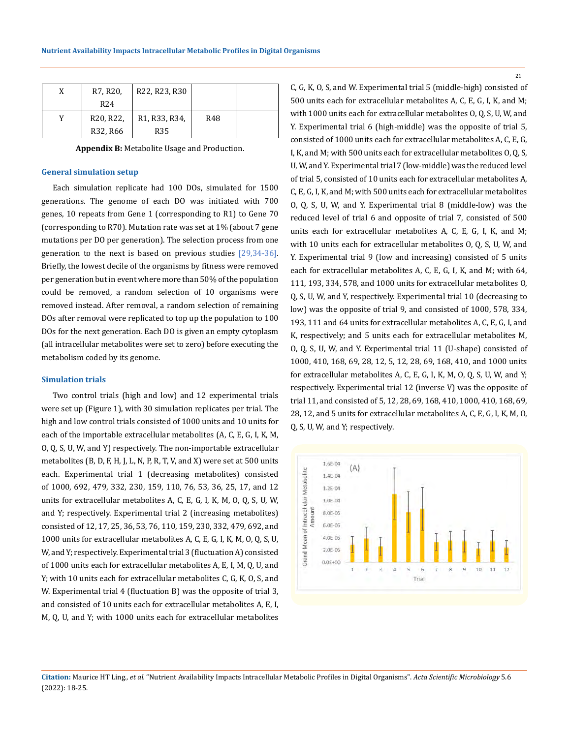| X | R7, R20,                            | R22, R23, R30                                        |     |  |
|---|-------------------------------------|------------------------------------------------------|-----|--|
|   | R <sub>24</sub>                     |                                                      |     |  |
|   | R <sub>20</sub> , R <sub>22</sub> , | R <sub>1</sub> , R <sub>33</sub> , R <sub>34</sub> , | R48 |  |
|   | R32, R66                            | <b>R35</b>                                           |     |  |

**Appendix B:** Metabolite Usage and Production.

#### **General simulation setup**

Each simulation replicate had 100 DOs, simulated for 1500 generations. The genome of each DO was initiated with 700 genes, 10 repeats from Gene 1 (corresponding to R1) to Gene 70 (corresponding to R70). Mutation rate was set at 1% (about 7 gene mutations per DO per generation). The selection process from one generation to the next is based on previous studies [29,34-36]. Briefly, the lowest decile of the organisms by fitness were removed per generation but in event where more than 50% of the population could be removed, a random selection of 10 organisms were removed instead. After removal, a random selection of remaining DOs after removal were replicated to top up the population to 100 DOs for the next generation. Each DO is given an empty cytoplasm (all intracellular metabolites were set to zero) before executing the metabolism coded by its genome.

#### **Simulation trials**

Two control trials (high and low) and 12 experimental trials were set up (Figure 1), with 30 simulation replicates per trial. The high and low control trials consisted of 1000 units and 10 units for each of the importable extracellular metabolites (A, C, E, G, I, K, M, O, Q, S, U, W, and Y) respectively. The non-importable extracellular metabolites (B, D, F, H, J, L, N, P, R, T, V, and X) were set at 500 units each. Experimental trial 1 (decreasing metabolites) consisted of 1000, 692, 479, 332, 230, 159, 110, 76, 53, 36, 25, 17, and 12 units for extracellular metabolites A, C, E, G, I, K, M, O, Q, S, U, W, and Y; respectively. Experimental trial 2 (increasing metabolites) consisted of 12, 17, 25, 36, 53, 76, 110, 159, 230, 332, 479, 692, and 1000 units for extracellular metabolites A, C, E, G, I, K, M, O, Q, S, U, W, and Y; respectively. Experimental trial 3 (fluctuation A) consisted of 1000 units each for extracellular metabolites A, E, I, M, Q, U, and Y; with 10 units each for extracellular metabolites C, G, K, O, S, and W. Experimental trial 4 (fluctuation B) was the opposite of trial 3, and consisted of 10 units each for extracellular metabolites A, E, I, M, Q, U, and Y; with 1000 units each for extracellular metabolites C, G, K, O, S, and W. Experimental trial 5 (middle-high) consisted of 500 units each for extracellular metabolites A, C, E, G, I, K, and M; with 1000 units each for extracellular metabolites O, Q, S, U, W, and Y. Experimental trial 6 (high-middle) was the opposite of trial 5, consisted of 1000 units each for extracellular metabolites A, C, E, G, I, K, and M; with 500 units each for extracellular metabolites O, Q, S, U, W, and Y. Experimental trial 7 (low-middle) was the reduced level of trial 5, consisted of 10 units each for extracellular metabolites A, C, E, G, I, K, and M; with 500 units each for extracellular metabolites O, Q, S, U, W, and Y. Experimental trial 8 (middle-low) was the reduced level of trial 6 and opposite of trial 7, consisted of 500 units each for extracellular metabolites A, C, E, G, I, K, and M; with 10 units each for extracellular metabolites O, Q, S, U, W, and Y. Experimental trial 9 (low and increasing) consisted of 5 units each for extracellular metabolites A, C, E, G, I, K, and M; with 64, 111, 193, 334, 578, and 1000 units for extracellular metabolites O, Q, S, U, W, and Y, respectively. Experimental trial 10 (decreasing to low) was the opposite of trial 9, and consisted of 1000, 578, 334, 193, 111 and 64 units for extracellular metabolites A, C, E, G, I, and K, respectively; and 5 units each for extracellular metabolites M, O, Q, S, U, W, and Y. Experimental trial 11 (U-shape) consisted of 1000, 410, 168, 69, 28, 12, 5, 12, 28, 69, 168, 410, and 1000 units for extracellular metabolites A, C, E, G, I, K, M, O, Q, S, U, W, and Y; respectively. Experimental trial 12 (inverse V) was the opposite of trial 11, and consisted of 5, 12, 28, 69, 168, 410, 1000, 410, 168, 69, 28, 12, and 5 units for extracellular metabolites A, C, E, G, I, K, M, O, Q, S, U, W, and Y; respectively.



**Citation:** Maurice HT Ling*., et al.* "Nutrient Availability Impacts Intracellular Metabolic Profiles in Digital Organisms". *Acta Scientific Microbiology* 5.6 (2022): 18-25.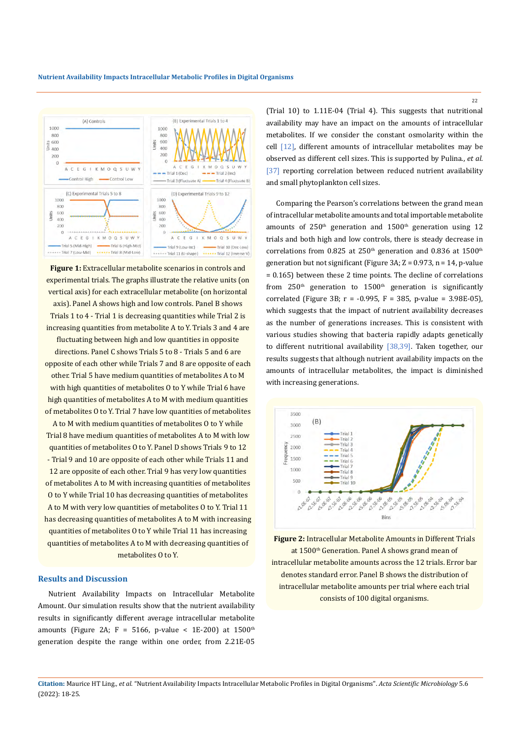

Figure 1: Extracellular metabolite scenarios in controls and experimental trials. The graphs illustrate the relative units (on vertical axis) for each extracellular metabolite (on horizontal axis). Panel A shows high and low controls. Panel B shows Trials 1 to 4 - Trial 1 is decreasing quantities while Trial 2 is increasing quantities from metabolite A to Y. Trials 3 and 4 are fluctuating between high and low quantities in opposite directions. Panel C shows Trials 5 to 8 - Trials 5 and 6 are opposite of each other while Trials 7 and 8 are opposite of each other. Trial 5 have medium quantities of metabolites A to M with high quantities of metabolites O to Y while Trial 6 have high quantities of metabolites A to M with medium quantities of metabolites O to Y. Trial 7 have low quantities of metabolites A to M with medium quantities of metabolites O to Y while Trial 8 have medium quantities of metabolites A to M with low quantities of metabolites O to Y. Panel D shows Trials 9 to 12 - Trial 9 and 10 are opposite of each other while Trials 11 and 12 are opposite of each other. Trial 9 has very low quantities of metabolites A to M with increasing quantities of metabolites O to Y while Trial 10 has decreasing quantities of metabolites A to M with very low quantities of metabolites O to Y. Trial 11 has decreasing quantities of metabolites A to M with increasing quantities of metabolites O to Y while Trial 11 has increasing quantities of metabolites A to M with decreasing quantities of

## metabolites O to Y.

## **Results and Discussion**

Nutrient Availability Impacts on Intracellular Metabolite Amount. Our simulation results show that the nutrient availability results in significantly different average intracellular metabolite amounts (Figure 2A; F = 5166, p-value < 1E-200) at  $1500<sup>th</sup>$ generation despite the range within one order, from 2.21E-05 (Trial 10) to 1.11E-04 (Trial 4). This suggests that nutritional availability may have an impact on the amounts of intracellular metabolites. If we consider the constant osmolarity within the cell [12], different amounts of intracellular metabolites may be observed as different cell sizes. This is supported by Pulina., *et al*. [37] reporting correlation between reduced nutrient availability and small phytoplankton cell sizes.

Comparing the Pearson's correlations between the grand mean of intracellular metabolite amounts and total importable metabolite amounts of  $250<sup>th</sup>$  generation and  $1500<sup>th</sup>$  generation using 12 trials and both high and low controls, there is steady decrease in correlations from 0.825 at 250<sup>th</sup> generation and 0.836 at 1500<sup>th</sup> generation but not significant (Figure 3A;  $Z = 0.973$ , n = 14, p-value = 0.165) between these 2 time points. The decline of correlations from  $250<sup>th</sup>$  generation to  $1500<sup>th</sup>$  generation is significantly correlated (Figure 3B; r = -0.995, F = 385, p-value = 3.98E-05), which suggests that the impact of nutrient availability decreases as the number of generations increases. This is consistent with various studies showing that bacteria rapidly adapts genetically to different nutritional availability [38,39]. Taken together, our results suggests that although nutrient availability impacts on the amounts of intracellular metabolites, the impact is diminished with increasing generations.



**Figure 2:** Intracellular Metabolite Amounts in Different Trials at 1500<sup>th</sup> Generation. Panel A shows grand mean of intracellular metabolite amounts across the 12 trials. Error bar denotes standard error. Panel B shows the distribution of intracellular metabolite amounts per trial where each trial consists of 100 digital organisms.

**Citation:** Maurice HT Ling*., et al.* "Nutrient Availability Impacts Intracellular Metabolic Profiles in Digital Organisms". *Acta Scientific Microbiology* 5.6 (2022): 18-25.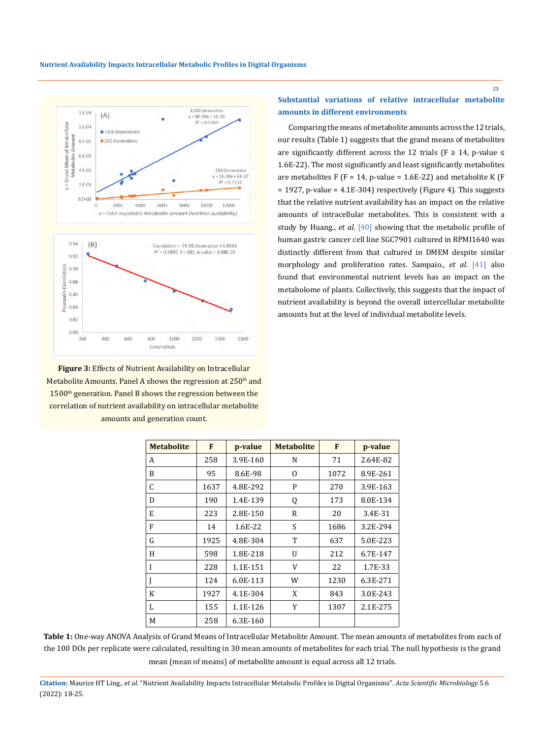

**Figure 3:** Effects of Nutrient Availability on Intracellular Metabolite Amounts. Panel A shows the regression at  $250<sup>th</sup>$  and 1500<sup>th</sup> generation. Panel B shows the regression between the correlation of nutrient availability on intracellular metabolite amounts and generation count.

## **Substantial variations of relative intracellular metabolite amounts in different environments**

Comparing the means of metabolite amounts across the 12 trials, our results (Table 1) suggests that the grand means of metabolites are significantly different across the 12 trials ( $F \geq 14$ , p-value  $\leq$ 1.6E-22). The most significantly and least significantly metabolites are metabolites F (F = 14, p-value =  $1.6E-22$ ) and metabolite K (F  $= 1927$ , p-value = 4.1E-304) respectively (Figure 4). This suggests that the relative nutrient availability has an impact on the relative amounts of intracellular metabolites. This is consistent with a study by Huang., *et al*. [40] showing that the metabolic profile of human gastric cancer cell line SGC7901 cultured in RPMI1640 was distinctly different from that cultured in DMEM despite similar morphology and proliferation rates. Sampaio., *et al*. [41] also found that environmental nutrient levels has an impact on the metabolome of plants. Collectively, this suggests that the impact of nutrient availability is beyond the overall intercellular metabolite amounts but at the level of individual metabolite levels.

| <b>Metabolite</b> | F    | p-value  | <b>Metabolite</b> | F    | p-value  |
|-------------------|------|----------|-------------------|------|----------|
| A                 | 258  | 3.9E-160 | N                 | 71   | 2.64E-82 |
| B                 | 95   | 8.6E-98  | 0                 | 1072 | 8.9E-261 |
| C                 | 1637 | 4.8E-292 | P                 | 270  | 3.9E-163 |
| D                 | 190  | 1.4E-139 | Q                 | 173  | 8.0E-134 |
| E                 | 223  | 2.8E-150 | $\mathbb{R}$      | 20   | 3.4E-31  |
| F                 | 14   | 1.6E-22  | S                 | 1686 | 3.2E-294 |
| G                 | 1925 | 4.8E-304 | T                 | 637  | 5.0E-223 |
| H                 | 598  | 1.8E-218 | U                 | 212  | 6.7E-147 |
| I                 | 228  | 1.1E-151 | V                 | 22   | 1.7E-33  |
|                   | 124  | 6.0E-113 | W                 | 1230 | 6.3E-271 |
| K                 | 1927 | 4.1E-304 | X                 | 843  | 3.0E-243 |
| L                 | 155  | 1.1E-126 | Y                 | 1307 | 2.1E-275 |
| M                 | 258  | 6.3E-160 |                   |      |          |

**Table 1:** One-way ANOVA Analysis of Grand Means of Intracellular Metabolite Amount. The mean amounts of metabolites from each of the 100 DOs per replicate were calculated, resulting in 30 mean amounts of metabolites for each trial. The null hypothesis is the grand mean (mean of means) of metabolite amount is equal across all 12 trials.

**Citation:** Maurice HT Ling*., et al.* "Nutrient Availability Impacts Intracellular Metabolic Profiles in Digital Organisms". *Acta Scientific Microbiology* 5.6 (2022): 18-25.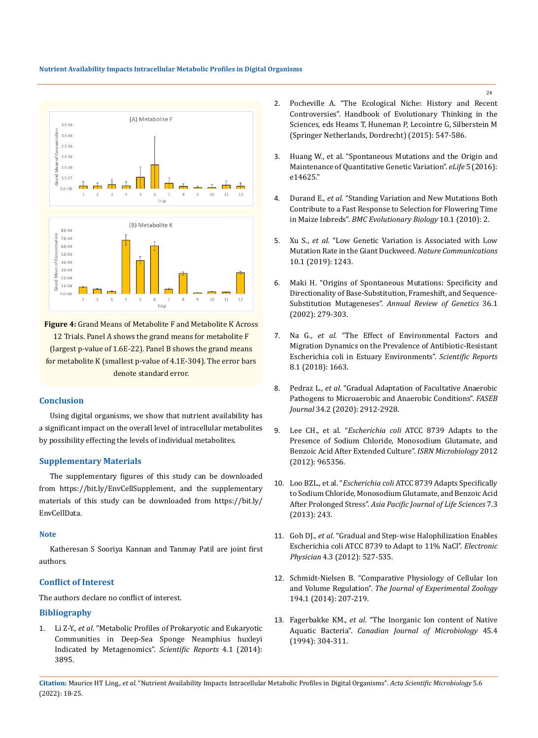### **Nutrient Availability Impacts Intracellular Metabolic Profiles in Digital Organisms**



**Figure 4:** Grand Means of Metabolite F and Metabolite K Across 12 Trials. Panel A shows the grand means for metabolite F (largest p-value of 1.6E-22). Panel B shows the grand means for metabolite K (smallest p-value of 4.1E-304). The error bars denote standard error.

### **Conclusion**

Using digital organisms, we show that nutrient availability has a significant impact on the overall level of intracellular metabolites by possibility effecting the levels of individual metabolites.

### **Supplementary Materials**

The supplementary figures of this study can be downloaded from https://bit.ly/EnvCellSupplement, and the supplementary materials of this study can be downloaded from https://bit.ly/ EnvCellData.

### **Note**

Katheresan S Sooriya Kannan and Tanmay Patil are joint first authors.

### **Conflict of Interest**

The authors declare no conflict of interest.

### **Bibliography**

1. Li Z-Y., *et al*[. "Metabolic Profiles of Prokaryotic and Eukaryotic](https://doi.org/10.1038/srep03895) [Communities in Deep-Sea Sponge Neamphius huxleyi](https://doi.org/10.1038/srep03895) [Indicated by Metagenomics".](https://doi.org/10.1038/srep03895) *Scientific Reports* 4.1 (2014): [3895.](https://doi.org/10.1038/srep03895)

- 2. Pocheville A. "The Ecological Niche: History and Recent Controversies". Handbook of Evolutionary Thinking in the Sciences, eds Heams T, Huneman P, Lecointre G, Silberstein M (Springer Netherlands, Dordrecht) (2015): 547-586.
- 3. Huang W., et al. "Spontaneous Mutations and the Origin and Maintenance of Quantitative Genetic Variation". *eLife* 5 (2016): e14625."
- 4. Durand E., *et al*[. "Standing Variation and New Mutations Both](https://doi.org/10.1186/1471-2148-10-2)  [Contribute to a Fast Response to Selection for Flowering Time](https://doi.org/10.1186/1471-2148-10-2)  in Maize Inbreds". *[BMC Evolutionary Biology](https://doi.org/10.1186/1471-2148-10-2)* 10.1 (2010): 2.
- 5. Xu S., *et al*[. "Low Genetic Variation is Associated with Low](https://doi.org/10.1038/s41467-019-09235-5)  [Mutation Rate in the Giant Duckweed.](https://doi.org/10.1038/s41467-019-09235-5) *Nature Communications* [10.1 \(2019\): 1243.](https://doi.org/10.1038/s41467-019-09235-5)
- 6. [Maki H. "Origins of Spontaneous Mutations: Specificity and](https://doi.org/10.1146/annurev.genet.36.042602.094806)  [Directionality of Base-Substitution, Frameshift, and Sequence-](https://doi.org/10.1146/annurev.genet.36.042602.094806)Substitution Mutageneses". *[Annual Review of Genetics](https://doi.org/10.1146/annurev.genet.36.042602.094806)* 36.1 [\(2002\): 279-303.](https://doi.org/10.1146/annurev.genet.36.042602.094806)
- 7. Na G., *et al*[. "The Effect of Environmental Factors and](https://doi.org/10.1038/s41598-018-20077-x)  [Migration Dynamics on the Prevalence of Antibiotic-Resistant](https://doi.org/10.1038/s41598-018-20077-x)  [Escherichia coli in Estuary Environments".](https://doi.org/10.1038/s41598-018-20077-x) *Scientific Reports* [8.1 \(2018\): 1663.](https://doi.org/10.1038/s41598-018-20077-x)
- 8. Pedraz L., *et al*[. "Gradual Adaptation of Facultative Anaerobic](https://doi.org/10.1096/fj.201902861R)  [Pathogens to Microaerobic and Anaerobic Conditions".](https://doi.org/10.1096/fj.201902861R) *FASEB Journal* [34.2 \(2020\): 2912-2928.](https://doi.org/10.1096/fj.201902861R)
- 9. Lee CH., et al. "*Escherichia coli* ATCC 8739 Adapts to the Presence of Sodium Chloride, Monosodium Glutamate, and Benzoic Acid After Extended Culture". *ISRN Microbiology* 2012 (2012): 965356.
- 10. Loo BZL., et al. "*Escherichia coli* ATCC 8739 Adapts Specifically to Sodium Chloride, Monosodium Glutamate, and Benzoic Acid After Prolonged Stress". *Asia Pacific Journal of Life Sciences* 7.3 (2013): 243.
- 11. Goh DJ., *et al*[. "Gradual and Step-wise Halophilization Enables](https://www.researchgate.net/publication/230770655_Gradual_and_Step-wise_Halophilization_Enables_Escherichia_coli_ATCC_8739_to_Adapt_to_11_NaCl)  [Escherichia coli ATCC 8739 to Adapt to 11% NaCl".](https://www.researchgate.net/publication/230770655_Gradual_and_Step-wise_Halophilization_Enables_Escherichia_coli_ATCC_8739_to_Adapt_to_11_NaCl) *Electronic Physician* [4.3 \(2012\): 527-535.](https://www.researchgate.net/publication/230770655_Gradual_and_Step-wise_Halophilization_Enables_Escherichia_coli_ATCC_8739_to_Adapt_to_11_NaCl)
- 12. [Schmidt-Nielsen B. "Comparative Physiology of Cellular Ion](https://doi.org/10.1002/jez.1401940114)  and Volume Regulation". *[The Journal of Experimental Zoology](https://doi.org/10.1002/jez.1401940114)* [194.1 \(2014\): 207-219.](https://doi.org/10.1002/jez.1401940114)
- 13. Fagerbakke KM., *et al*[. "The Inorganic Ion content of Native](https://pubmed.ncbi.nlm.nih.gov/10420582/)  Aquatic Bacteria". *[Canadian Journal of Microbiology](https://pubmed.ncbi.nlm.nih.gov/10420582/)* 45.4 [\(1994\): 304-311.](https://pubmed.ncbi.nlm.nih.gov/10420582/)

**Citation:** Maurice HT Ling*., et al.* "Nutrient Availability Impacts Intracellular Metabolic Profiles in Digital Organisms". *Acta Scientific Microbiology* 5.6 (2022): 18-25.